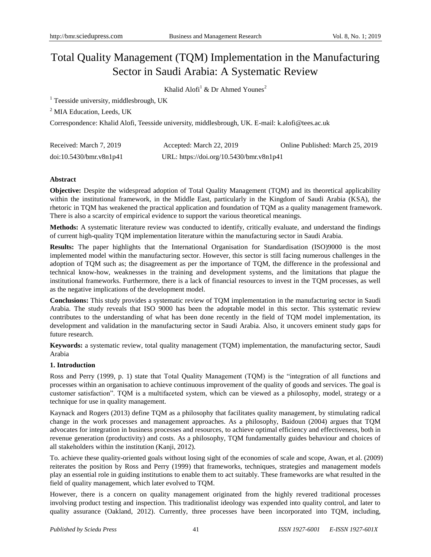# Total Quality Management (TQM) Implementation in the Manufacturing Sector in Saudi Arabia: A Systematic Review

Khalid Alofi<sup>1</sup> & Dr Ahmed Younes<sup>2</sup>

 $<sup>1</sup>$  Teesside university, middlesbrough, UK</sup>

<sup>2</sup> MIA Education, Leeds, UK

Correspondence: Khalid Alofi, Teesside university, middlesbrough, UK. E-mail: [k.alofi@tees.ac.uk](mailto:k.alofi@tees.ac.uk)

| Received: March 7, 2019 | Accepted: March 22, 2019                 | Online Published: March 25, 2019 |
|-------------------------|------------------------------------------|----------------------------------|
| doi:10.5430/bmr.v8n1p41 | URL: https://doi.org/10.5430/bmr.v8n1p41 |                                  |

## **Abstract**

**Objective:** Despite the widespread adoption of Total Quality Management (TQM) and its theoretical applicability within the institutional framework, in the Middle East, particularly in the Kingdom of Saudi Arabia (KSA), the rhetoric in TQM has weakened the practical application and foundation of TQM as a quality management framework. There is also a scarcity of empirical evidence to support the various theoretical meanings.

**Methods:** A systematic literature review was conducted to identify, critically evaluate, and understand the findings of current high-quality TQM implementation literature within the manufacturing sector in Saudi Arabia.

**Results:** The paper highlights that the International Organisation for Standardisation (ISO)9000 is the most implemented model within the manufacturing sector. However, this sector is still facing numerous challenges in the adoption of TQM such as; the disagreement as per the importance of TQM, the difference in the professional and technical know-how, weaknesses in the training and development systems, and the limitations that plague the institutional frameworks. Furthermore, there is a lack of financial resources to invest in the TQM processes, as well as the negative implications of the development model.

**Conclusions:** This study provides a systematic review of TQM implementation in the manufacturing sector in Saudi Arabia. The study reveals that ISO 9000 has been the adoptable model in this sector. This systematic review contributes to the understanding of what has been done recently in the field of TQM model implementation, its development and validation in the manufacturing sector in Saudi Arabia. Also, it uncovers eminent study gaps for future research.

**Keywords:** a systematic review, total quality management (TQM) implementation, the manufacturing sector, Saudi Arabia

## **1. Introduction**

Ross and Perry (1999, p. 1) state that Total Quality Management (TQM) is the "integration of all functions and processes within an organisation to achieve continuous improvement of the quality of goods and services. The goal is customer satisfaction". TQM is a multifaceted system, which can be viewed as a philosophy, model, strategy or a technique for use in quality management.

Kaynack and Rogers (2013) define TQM as a philosophy that facilitates quality management, by stimulating radical change in the work processes and management approaches. As a philosophy, Baidoun (2004) argues that TQM advocates for integration in business processes and resources, to achieve optimal efficiency and effectiveness, both in revenue generation (productivity) and costs. As a philosophy, TQM fundamentally guides behaviour and choices of all stakeholders within the institution (Kanji, 2012).

To. achieve these quality-oriented goals without losing sight of the economies of scale and scope, Awan, et al. (2009) reiterates the position by Ross and Perry (1999) that frameworks, techniques, strategies and management models play an essential role in guiding institutions to enable them to act suitably. These frameworks are what resulted in the field of quality management, which later evolved to TQM.

However, there is a concern on quality management originated from the highly revered traditional processes involving product testing and inspection. This traditionalist ideology was expended into quality control, and later to quality assurance (Oakland, 2012). Currently, three processes have been incorporated into TQM, including,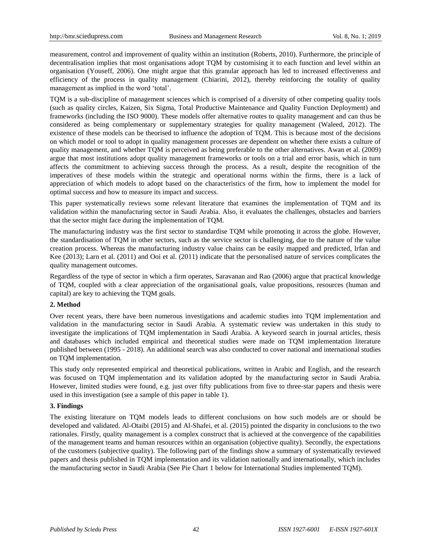measurement, control and improvement of quality within an institution (Roberts, 2010). Furthermore, the principle of decentralisation implies that most organisations adopt TQM by customising it to each function and level within an organisation (Youseff, 2006). One might argue that this granular approach has led to increased effectiveness and efficiency of the process in quality management (Chiarini, 2012), thereby reinforcing the totality of quality management as implied in the word 'total'.

TQM is a sub-discipline of management sciences which is comprised of a diversity of other competing quality tools (such as quality circles, Kaizen, Six Sigma, Total Productive Maintenance and Quality Function Deployment) and frameworks (including the ISO 9000). These models offer alternative routes to quality management and can thus be considered as being complementary or supplementary strategies for quality management (Waleed, 2012). The existence of these models can be theorised to influence the adoption of TQM. This is because most of the decisions on which model or tool to adopt in quality management processes are dependent on whether there exists a culture of quality management, and whether TQM is perceived as being preferable to the other alternatives. Awan et al. (2009) argue that most institutions adopt quality management frameworks or tools on a trial and error basis, which in turn affects the commitment to achieving success through the process. As a result, despite the recognition of the imperatives of these models within the strategic and operational norms within the firms, there is a lack of appreciation of which models to adopt based on the characteristics of the firm, how to implement the model for optimal success and how to measure its impact and success.

This paper systematically reviews some relevant literature that examines the implementation of TQM and its validation within the manufacturing sector in Saudi Arabia. Also, it evaluates the challenges, obstacles and barriers that the sector might face during the implementation of TQM.

The manufacturing industry was the first sector to standardise TQM while promoting it across the globe. However, the standardisation of TQM in other sectors, such as the service sector is challenging, due to the nature of the value creation process. Whereas the manufacturing industry value chains can be easily mapped and predicted, Irfan and Kee (2013); Larn et al. (2011) and Ooi et al. (2011) indicate that the personalised nature of services complicates the quality management outcomes.

Regardless of the type of sector in which a firm operates, Saravanan and Rao (2006) argue that practical knowledge of TQM, coupled with a clear appreciation of the organisational goals, value propositions, resources (human and capital) are key to achieving the TQM goals.

## **2. Method**

Over recent years, there have been numerous investigations and academic studies into TQM implementation and validation in the manufacturing sector in Saudi Arabia. A systematic review was undertaken in this study to investigate the implications of TQM implementation in Saudi Arabia. A keyword search in journal articles, thesis and databases which included empirical and theoretical studies were made on TQM implementation literature published between (1995 - 2018). An additional search was also conducted to cover national and international studies on TQM implementation.

This study only represented empirical and theoretical publications, written in Arabic and English, and the research was focused on TQM implementation and its validation adopted by the manufacturing sector in Saudi Arabia. However, limited studies were found, e.g. just over fifty publications from five to three-star papers and thesis were used in this investigation (see a sample of this paper in table 1).

## **3. Findings**

The existing literature on TQM models leads to different conclusions on how such models are or should be developed and validated. Al-Otaibi (2015) and Al-Shafei, et al. (2015) pointed the disparity in conclusions to the two rationales. Firstly, quality management is a complex construct that is achieved at the convergence of the capabilities of the management teams and human resources within an organisation (objective quality). Secondly, the expectations of the customers (subjective quality). The following part of the findings show a summary of systematically reviewed papers and thesis published in TQM implementation and its validation nationally and internationally, which includes the manufacturing sector in Saudi Arabia (See Pie Chart 1 below for International Studies implemented TQM).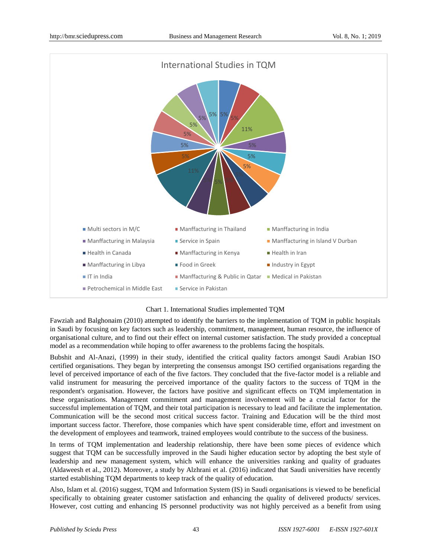



Fawziah and Balghonaim (2010) attempted to identify the barriers to the implementation of TQM in public hospitals in Saudi by focusing on key factors such as leadership, commitment, management, human resource, the influence of organisational culture, and to find out their effect on internal customer satisfaction. The study provided a conceptual model as a recommendation while hoping to offer awareness to the problems facing the hospitals.

Bubshit and Al-Anazi, (1999) in their study, identified the critical quality factors amongst Saudi Arabian ISO certified organisations. They began by interpreting the consensus amongst ISO certified organisations regarding the level of perceived importance of each of the five factors. They concluded that the five-factor model is a reliable and valid instrument for measuring the perceived importance of the quality factors to the success of TQM in the respondent's organisation. However, the factors have positive and significant effects on TQM implementation in these organisations. Management commitment and management involvement will be a crucial factor for the successful implementation of TQM, and their total participation is necessary to lead and facilitate the implementation. Communication will be the second most critical success factor. Training and Education will be the third most important success factor. Therefore, those companies which have spent considerable time, effort and investment on the development of employees and teamwork, trained employees would contribute to the success of the business.

In terms of TQM implementation and leadership relationship, there have been some pieces of evidence which suggest that TQM can be successfully improved in the Saudi higher education sector by adopting the best style of leadership and new management system, which will enhance the universities ranking and quality of graduates (Aldaweesh et al., 2012). Moreover, a study by Alzhrani et al. (2016) indicated that Saudi universities have recently started establishing TQM departments to keep track of the quality of education.

Also, Islam et al. (2016) suggest, TQM and Information System (IS) in Saudi organisations is viewed to be beneficial specifically to obtaining greater customer satisfaction and enhancing the quality of delivered products/ services. However, cost cutting and enhancing IS personnel productivity was not highly perceived as a benefit from using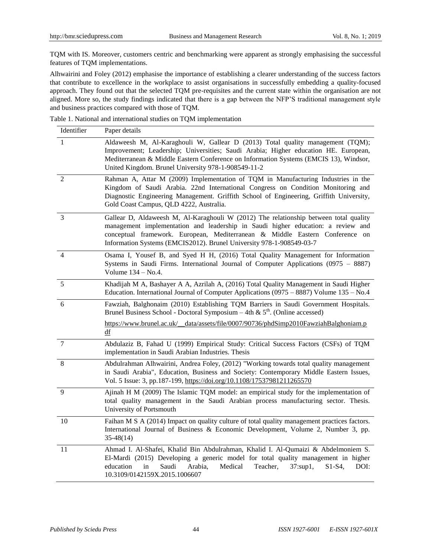TQM with IS. Moreover, customers centric and benchmarking were apparent as strongly emphasising the successful features of TQM implementations.

Alhwairini and Foley (2012) emphasise the importance of establishing a clearer understanding of the success factors that contribute to excellence in the workplace to assist organisations in successfully embedding a quality-focused approach. They found out that the selected TQM pre-requisites and the current state within the organisation are not aligned. More so, the study findings indicated that there is a gap between the NFP'S traditional management style and business practices compared with those of TQM.

Table 1. National and international studies on TQM implementation

| Identifier     | Paper details                                                                                                                                                                                                                                                                                                                     |
|----------------|-----------------------------------------------------------------------------------------------------------------------------------------------------------------------------------------------------------------------------------------------------------------------------------------------------------------------------------|
| 1              | Aldaweesh M, Al-Karaghouli W, Gallear D (2013) Total quality management (TQM);<br>Improvement; Leadership; Universities; Saudi Arabia; Higher education HE. European,<br>Mediterranean & Middle Eastern Conference on Information Systems (EMCIS 13), Windsor,<br>United Kingdom. Brunel University 978-1-908549-11-2             |
| $\overline{2}$ | Rahman A, Attar M (2009) Implementation of TQM in Manufacturing Industries in the<br>Kingdom of Saudi Arabia. 22nd International Congress on Condition Monitoring and<br>Diagnostic Engineering Management. Griffith School of Engineering, Griffith University,<br>Gold Coast Campus, QLD 4222, Australia.                       |
| 3              | Gallear D, Aldaweesh M, Al-Karaghouli W (2012) The relationship between total quality<br>management implementation and leadership in Saudi higher education: a review and<br>conceptual framework. European, Mediterranean & Middle Eastern Conference on<br>Information Systems (EMCIS2012). Brunel University 978-1-908549-03-7 |
| 4              | Osama I, Yousef B, and Syed H H, (2016) Total Quality Management for Information<br>Systems in Saudi Firms. International Journal of Computer Applications (0975 – 8887)<br>Volume 134 - No.4.                                                                                                                                    |
| 5              | Khadijah M A, Bashayer A A, Azrilah A, (2016) Total Quality Management in Saudi Higher<br>Education. International Journal of Computer Applications (0975 – 8887) Volume 135 – No.4                                                                                                                                               |
| 6              | Fawziah, Balghonaim (2010) Establishing TQM Barriers in Saudi Government Hospitals.<br>Brunel Business School - Doctoral Symposium – 4th & $5th$ . (Online accessed)                                                                                                                                                              |
|                | https://www.brunel.ac.uk/ data/assets/file/0007/90736/phdSimp2010FawziahBalghoniam.p<br>df                                                                                                                                                                                                                                        |
| $\overline{7}$ | Abdulaziz B, Fahad U (1999) Empirical Study: Critical Success Factors (CSFs) of TQM<br>implementation in Saudi Arabian Industries. Thesis                                                                                                                                                                                         |
| 8              | Abdulrahman Alhwairini, Andrea Foley, (2012) "Working towards total quality management<br>in Saudi Arabia", Education, Business and Society: Contemporary Middle Eastern Issues,<br>Vol. 5 Issue: 3, pp.187-199, https://doi.org/10.1108/17537981211265570                                                                        |
| 9              | Ajinah H M (2009) The Islamic TQM model: an empirical study for the implementation of<br>total quality management in the Saudi Arabian process manufacturing sector. Thesis.<br>University of Portsmouth                                                                                                                          |
| 10             | Faihan M S A (2014) Impact on quality culture of total quality management practices factors.<br>International Journal of Business & Economic Development, Volume 2, Number 3, pp.<br>$35-48(14)$                                                                                                                                  |
| 11             | Ahmad I. Al-Shafei, Khalid Bin Abdulrahman, Khalid I. Al-Qumaizi & Abdelmoniem S.<br>El-Mardi (2015) Developing a generic model for total quality management in higher<br>education<br>Saudi<br>in<br>Arabia,<br>Medical<br>Teacher,<br>$37:$ sup1,<br>S1-S4,<br>DOI:<br>10.3109/0142159X.2015.1006607                            |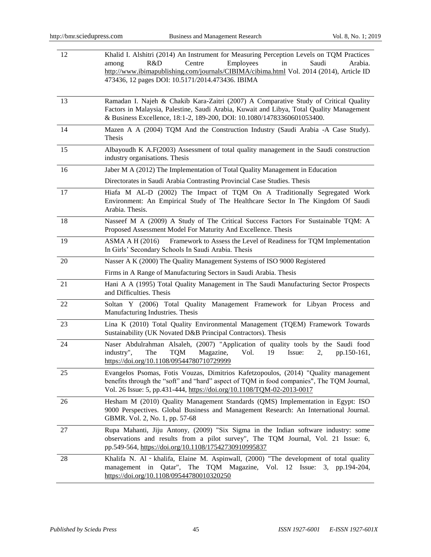| 12 | Khalid I. Alshitri (2014) An Instrument for Measuring Perception Levels on TQM Practices<br>R&D<br>Centre<br>Employees<br>Saudi<br>in<br>Arabia.<br>among<br>http://www.ibimapublishing.com/journals/CIBIMA/cibima.html Vol. 2014 (2014), Article ID<br>473436, 12 pages DOI: 10.5171/2014.473436. IBIMA |
|----|----------------------------------------------------------------------------------------------------------------------------------------------------------------------------------------------------------------------------------------------------------------------------------------------------------|
| 13 | Ramadan I. Najeh & Chakib Kara-Zaitri (2007) A Comparative Study of Critical Quality<br>Factors in Malaysia, Palestine, Saudi Arabia, Kuwait and Libya, Total Quality Management<br>& Business Excellence, 18:1-2, 189-200, DOI: 10.1080/14783360601053400.                                              |
| 14 | Mazen A A (2004) TQM And the Construction Industry (Saudi Arabia -A Case Study).<br>Thesis                                                                                                                                                                                                               |
| 15 | Albayoudh K A.F(2003) Assessment of total quality management in the Saudi construction<br>industry organisations. Thesis                                                                                                                                                                                 |
| 16 | Jaber M A (2012) The Implementation of Total Quality Management in Education                                                                                                                                                                                                                             |
|    | Directorates in Saudi Arabia Contrasting Provincial Case Studies. Thesis                                                                                                                                                                                                                                 |
| 17 | Hiafa M AL-D (2002) The Impact of TQM On A Traditionally Segregated Work<br>Environment: An Empirical Study of The Healthcare Sector In The Kingdom Of Saudi<br>Arabia. Thesis.                                                                                                                          |
| 18 | Nasseef M A (2009) A Study of The Critical Success Factors For Sustainable TQM: A<br>Proposed Assessment Model For Maturity And Excellence. Thesis                                                                                                                                                       |
| 19 | Framework to Assess the Level of Readiness for TQM Implementation<br>ASMA A H (2016)<br>In Girls' Secondary Schools In Saudi Arabia. Thesis                                                                                                                                                              |
| 20 | Nasser A K (2000) The Quality Management Systems of ISO 9000 Registered                                                                                                                                                                                                                                  |
|    | Firms in A Range of Manufacturing Sectors in Saudi Arabia. Thesis                                                                                                                                                                                                                                        |
| 21 | Hani A A (1995) Total Quality Management in The Saudi Manufacturing Sector Prospects<br>and Difficulties. Thesis                                                                                                                                                                                         |
| 22 | Soltan Y (2006) Total Quality Management Framework for Libyan Process and<br>Manufacturing Industries. Thesis                                                                                                                                                                                            |
| 23 | Lina K (2010) Total Quality Environmental Management (TQEM) Framework Towards<br>Sustainability (UK Novated D&B Principal Contractors). Thesis                                                                                                                                                           |
| 24 | Naser Abdulrahman Alsaleh, (2007) "Application of quality tools by the Saudi food<br>industry",<br>The<br><b>TQM</b><br>Magazine,<br>Vol.<br>19<br>Issue:<br>2,<br>pp.150-161,<br>https://doi.org/10.1108/09544780710729999                                                                              |
| 25 | Evangelos Psomas, Fotis Vouzas, Dimitrios Kafetzopoulos, (2014) "Quality management<br>benefits through the "soft" and "hard" aspect of TQM in food companies", The TQM Journal,<br>Vol. 26 Issue: 5, pp.431-444, https://doi.org/10.1108/TQM-02-2013-0017                                               |
| 26 | Hesham M (2010) Quality Management Standards (QMS) Implementation in Egypt: ISO<br>9000 Perspectives. Global Business and Management Research: An International Journal.<br>GBMR. Vol. 2, No. 1, pp. 57-68                                                                                               |
| 27 | Rupa Mahanti, Jiju Antony, (2009) "Six Sigma in the Indian software industry: some<br>observations and results from a pilot survey", The TQM Journal, Vol. 21 Issue: 6,<br>pp.549-564, https://doi.org/10.1108/17542730910995837                                                                         |
| 28 | Khalifa N. Al - khalifa, Elaine M. Aspinwall, (2000) "The development of total quality<br>The TQM Magazine, Vol.<br>12 Issue:<br>Qatar",<br>3, pp.194-204,<br>management in<br>https://doi.org/10.1108/09544780010320250                                                                                 |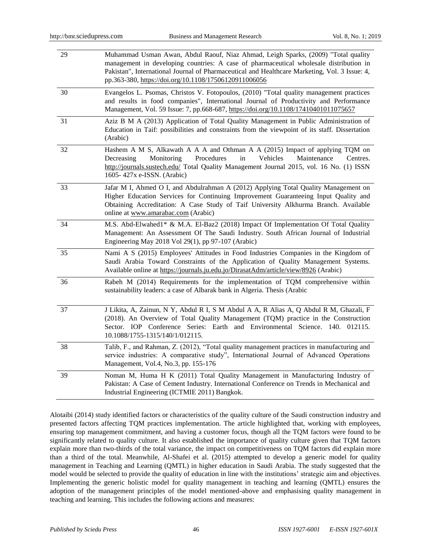| 29     | Muhammad Usman Awan, Abdul Raouf, Niaz Ahmad, Leigh Sparks, (2009) "Total quality<br>management in developing countries: A case of pharmaceutical wholesale distribution in<br>Pakistan", International Journal of Pharmaceutical and Healthcare Marketing, Vol. 3 Issue: 4,<br>pp.363-380, https://doi.org/10.1108/17506120911006056 |
|--------|---------------------------------------------------------------------------------------------------------------------------------------------------------------------------------------------------------------------------------------------------------------------------------------------------------------------------------------|
| 30     | Evangelos L. Psomas, Christos V. Fotopoulos, (2010) "Total quality management practices<br>and results in food companies", International Journal of Productivity and Performance<br>Management, Vol. 59 Issue: 7, pp.668-687, https://doi.org/10.1108/17410401011075657                                                               |
| 31     | Aziz B M A (2013) Application of Total Quality Management in Public Administration of<br>Education in Taif: possibilities and constraints from the viewpoint of its staff. Dissertation<br>(Arabic)                                                                                                                                   |
| 32     | Hashem A M S, Alkawath A A A and Othman A A (2015) Impact of applying TQM on<br>Monitoring<br>Procedures<br>in<br>Vehicles<br>Maintenance<br>Centres.<br>Decreasing<br>http://journals.sustech.edu/ Total Quality Management Journal 2015, vol. 16 No. (1) ISSN<br>1605-427x e-ISSN. (Arabic)                                         |
| 33     | Jafar M I, Ahmed O I, and Abdulrahman A (2012) Applying Total Quality Management on<br>Higher Education Services for Continuing Improvement Guaranteeing Input Quality and<br>Obtaining Accreditation: A Case Study of Taif University Alkhurma Branch. Available<br>online at www.amarabac.com (Arabic)                              |
| 34     | M.S. Abd-Elwahed1* & M.A. El-Baz2 (2018) Impact Of Implementation Of Total Quality<br>Management: An Assessment Of The Saudi Industry. South African Journal of Industrial<br>Engineering May 2018 Vol 29(1), pp 97-107 (Arabic)                                                                                                      |
| 35     | Nami A S (2015) Employees' Attitudes in Food Industries Companies in the Kingdom of<br>Saudi Arabia Toward Constraints of the Application of Quality Management Systems.<br>Available online at https://journals.ju.edu.jo/DirasatAdm/article/view/8926 (Arabic)                                                                      |
| 36     | Rabeh M (2014) Requirements for the implementation of TQM comprehensive within<br>sustainability leaders: a case of Albarak bank in Algeria. Thesis (Arabic                                                                                                                                                                           |
| $37\,$ | J Likita, A, Zainun, N Y, Abdul R I, S M Abdul A A, R Alias A, Q Abdul R M, Ghazali, F<br>(2018). An Overview of Total Quality Management (TQM) practice in the Construction<br>Sector. IOP Conference Series: Earth and Environmental Science. 140. 012115.<br>10.1088/1755-1315/140/1/012115.                                       |
| 38     | Talib, F., and Rahman, Z. (2012), "Total quality management practices in manufacturing and<br>service industries: A comparative study", International Journal of Advanced Operations<br>Management, Vol.4, No.3, pp. 155-176                                                                                                          |
| 39     | Noman M, Huma H K (2011) Total Quality Management in Manufacturing Industry of<br>Pakistan: A Case of Cement Industry. International Conference on Trends in Mechanical and<br>Industrial Engineering (ICTMIE 2011) Bangkok.                                                                                                          |

Alotaibi (2014) study identified factors or characteristics of the quality culture of the Saudi construction industry and presented factors affecting TQM practices implementation. The article highlighted that, working with employees, ensuring top management commitment, and having a customer focus, though all the TQM factors were found to be significantly related to quality culture. It also established the importance of quality culture given that TQM factors explain more than two-thirds of the total variance, the impact on competitiveness on TQM factors did explain more than a third of the total. Meanwhile, Al-Shafei et al. (2015) attempted to develop a generic model for quality management in Teaching and Learning (QMTL) in higher education in Saudi Arabia. The study suggested that the model would be selected to provide the quality of education in line with the institutions' strategic aim and objectives. Implementing the generic holistic model for quality management in teaching and learning (QMTL) ensures the adoption of the management principles of the model mentioned-above and emphasising quality management in teaching and learning. This includes the following actions and measures: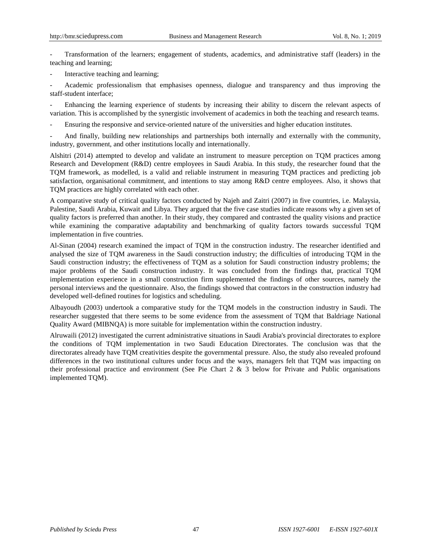- Transformation of the learners; engagement of students, academics, and administrative staff (leaders) in the teaching and learning;

Interactive teaching and learning;

- Academic professionalism that emphasises openness, dialogue and transparency and thus improving the staff-student interface;

- Enhancing the learning experience of students by increasing their ability to discern the relevant aspects of variation. This is accomplished by the synergistic involvement of academics in both the teaching and research teams.

- Ensuring the responsive and service-oriented nature of the universities and higher education institutes.

- And finally, building new relationships and partnerships both internally and externally with the community, industry, government, and other institutions locally and internationally.

Alshitri (2014) attempted to develop and validate an instrument to measure perception on TQM practices among Research and Development (R&D) centre employees in Saudi Arabia. In this study, the researcher found that the TQM framework, as modelled, is a valid and reliable instrument in measuring TQM practices and predicting job satisfaction, organisational commitment, and intentions to stay among R&D centre employees. Also, it shows that TQM practices are highly correlated with each other.

A comparative study of critical quality factors conducted by Najeh and Zaitri (2007) in five countries, i.e. Malaysia, Palestine, Saudi Arabia, Kuwait and Libya. They argued that the five case studies indicate reasons why a given set of quality factors is preferred than another. In their study, they compared and contrasted the quality visions and practice while examining the comparative adaptability and benchmarking of quality factors towards successful TQM implementation in five countries.

Al-Sinan (2004) research examined the impact of TQM in the construction industry. The researcher identified and analysed the size of TQM awareness in the Saudi construction industry; the difficulties of introducing TQM in the Saudi construction industry; the effectiveness of TQM as a solution for Saudi construction industry problems; the major problems of the Saudi construction industry. It was concluded from the findings that, practical TQM implementation experience in a small construction firm supplemented the findings of other sources, namely the personal interviews and the questionnaire. Also, the findings showed that contractors in the construction industry had developed well-defined routines for logistics and scheduling.

Albayoudh (2003) undertook a comparative study for the TQM models in the construction industry in Saudi. The researcher suggested that there seems to be some evidence from the assessment of TQM that Baldriage National Quality Award (MIBNQA) is more suitable for implementation within the construction industry.

Alruwaili (2012) investigated the current administrative situations in Saudi Arabia's provincial directorates to explore the conditions of TQM implementation in two Saudi Education Directorates. The conclusion was that the directorates already have TQM creativities despite the governmental pressure. Also, the study also revealed profound differences in the two institutional cultures under focus and the ways, managers felt that TQM was impacting on their professional practice and environment (See Pie Chart 2 & 3 below for Private and Public organisations implemented TQM).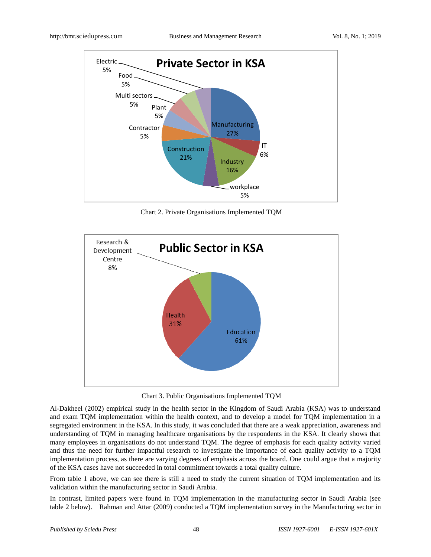

Chart 2. Private Organisations Implemented TQM



Chart 3. Public Organisations Implemented TQM

Al-Dakheel (2002) empirical study in the health sector in the Kingdom of Saudi Arabia (KSA) was to understand and exam TQM implementation within the health context, and to develop a model for TQM implementation in a segregated environment in the KSA. In this study, it was concluded that there are a weak appreciation, awareness and understanding of TQM in managing healthcare organisations by the respondents in the KSA. It clearly shows that many employees in organisations do not understand TQM. The degree of emphasis for each quality activity varied and thus the need for further impactful research to investigate the importance of each quality activity to a TQM implementation process, as there are varying degrees of emphasis across the board. One could argue that a majority of the KSA cases have not succeeded in total commitment towards a total quality culture.

From table 1 above, we can see there is still a need to study the current situation of TQM implementation and its validation within the manufacturing sector in Saudi Arabia.

In contrast, limited papers were found in TQM implementation in the manufacturing sector in Saudi Arabia (see table 2 below). Rahman and Attar (2009) conducted a TQM implementation survey in the Manufacturing sector in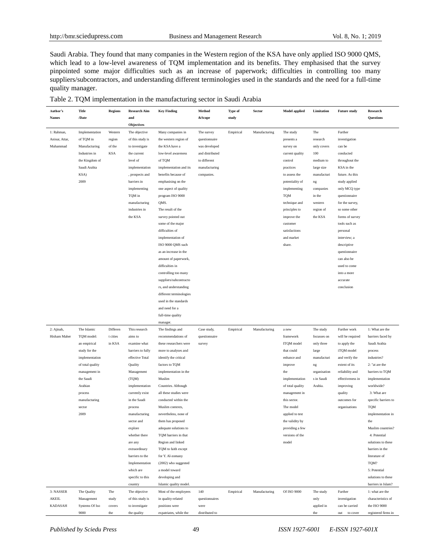Saudi Arabia. They found that many companies in the Western region of the KSA have only applied ISO 9000 QMS, which lead to a low-level awareness of TQM implementation and its benefits. They emphasised that the survey pinpointed some major difficulties such as an increase of paperwork; difficulties in controlling too many suppliers/subcontractors, and understanding different terminologies used in the standards and the need for a full-time quality manager.

|  |  |  | Table 2. TQM implementation in the manufacturing sector in Saudi Arabia |
|--|--|--|-------------------------------------------------------------------------|
|--|--|--|-------------------------------------------------------------------------|

| Author's       | Title            | <b>Regions</b> | <b>Research Aim</b>            | <b>Key Finding</b>                 | Method          | Type of   | Sector        | <b>Model</b> applied | Limitation   | <b>Future study</b> | Research                          |
|----------------|------------------|----------------|--------------------------------|------------------------------------|-----------------|-----------|---------------|----------------------|--------------|---------------------|-----------------------------------|
| Names          | /Date            |                | and                            |                                    | &Scope          | study     |               |                      |              |                     | <b>Questions</b>                  |
|                |                  |                | Objectives                     |                                    |                 |           |               |                      |              |                     |                                   |
| 1: Rahman,     | Implementation   | Western        | The objective                  | Many companies in                  | The survey      | Empirical | Manufacturing | The study            | The          | Further             |                                   |
| Anisur, Attar, | of TQM in        | region         | of this study is               | the western region of              | questionnaire   |           |               | presents a           | research     | investigation       |                                   |
| Muhammad       | Manufacturing    | of the         | to investigate                 | the KSA have a                     | was developed   |           |               | survey on            | only covers  | can be              |                                   |
|                | Industries in    | KSA            | the current                    | low-level awareness                | and distributed |           |               | current quality      | 100          | conducted           |                                   |
|                | the Kingdom of   |                | level of                       | of TQM                             | to different    |           |               | control              | medium to    | throughout the      |                                   |
|                | Saudi Arabia     |                | implementation                 | implementation and its             | manufacturing   |           |               | practices            | large size   | KSA in the          |                                   |
|                | KSA)             |                |                                | benefits because of                |                 |           |               | to assess the        | manufacturi  | future. As this     |                                   |
|                | 2009             |                | , prospects and<br>barriers in | emphasising on the                 | companies.      |           |               | potentiality of      |              | study applied       |                                   |
|                |                  |                |                                |                                    |                 |           |               |                      | ng           |                     |                                   |
|                |                  |                | implementing                   | one aspect of quality              |                 |           |               | implementing         | companies    | only MCQ type       |                                   |
|                |                  |                | TQM in                         | program ISO 9000                   |                 |           |               | <b>TQM</b>           | in the       | questionnaire       |                                   |
|                |                  |                | manufacturing                  | QMS.                               |                 |           |               | technique and        | western      | for the survey,     |                                   |
|                |                  |                | industries in                  | The result of the                  |                 |           |               | principles to        | region of    | so some other       |                                   |
|                |                  |                | the KSA                        | survey pointed out                 |                 |           |               | improve the          | the KSA      | forms of survey     |                                   |
|                |                  |                |                                | some of the major                  |                 |           |               | customer             |              | tools such as       |                                   |
|                |                  |                |                                | difficulties of                    |                 |           |               | satisfactions        |              | personal            |                                   |
|                |                  |                |                                | implementation of                  |                 |           |               | and market           |              | interview; a        |                                   |
|                |                  |                |                                | ISO 9000 QMS such                  |                 |           |               | share.               |              | descriptive         |                                   |
|                |                  |                |                                | as an increase in the              |                 |           |               |                      |              | questionnaire       |                                   |
|                |                  |                |                                | amount of paperwork,               |                 |           |               |                      |              | can also be         |                                   |
|                |                  |                |                                | difficulties in                    |                 |           |               |                      |              | used to come        |                                   |
|                |                  |                |                                | controlling too many               |                 |           |               |                      |              | into a more         |                                   |
|                |                  |                |                                | suppliers/subcontracto             |                 |           |               |                      |              | accurate            |                                   |
|                |                  |                |                                | rs, and understanding              |                 |           |               |                      |              | conclusion          |                                   |
|                |                  |                |                                | different terminologies            |                 |           |               |                      |              |                     |                                   |
|                |                  |                |                                | used in the standards              |                 |           |               |                      |              |                     |                                   |
|                |                  |                |                                | and need for a                     |                 |           |               |                      |              |                     |                                   |
|                |                  |                |                                | full-time quality                  |                 |           |               |                      |              |                     |                                   |
|                |                  |                |                                | manager.                           |                 |           |               |                      |              |                     |                                   |
| 2: Ajinah,     | The Islamic      | Differen       | This research                  | The findings and                   | Case study,     | Empirical | Manufacturing | a new                | The study    | Further work        | 1: What are the                   |
| Hisham Maher   | TQM model:       | t cities       | aims to                        | recommendations of                 | questionnaire   |           |               | framework            | focusses on  | will be required    | barriers faced by                 |
|                | an empirical     | in KSA         | examine what                   | these researchers were             | survey          |           |               | ITQM model           | only three   | to apply the        | Saudi Arabia                      |
|                | study for the    |                | barriers to fully              | more to analyses and               |                 |           |               | that could           | large        | iTQM model          | process                           |
|                | implementation   |                | effective Total                | identify the critical              |                 |           |               | enhance and          | manufacturi  | and verify the      | industries?                       |
|                | of total quality |                | Quality                        | factors to TQM                     |                 |           |               | improve              | $\rm ng$     | extent of its       | 2: "at are the                    |
|                | management in    |                | Management                     | implementation in the              |                 |           |               | the                  | organisation | reliability and     | barriers to TQM                   |
|                | the Saudi        |                | (TQM)                          | Muslim                             |                 |           |               | implementation       | s in Saudi   | effectiveness in    | implementation                    |
|                | Arabian          |                | implementation                 | Countries. Although                |                 |           |               | of total quality     | Arabia.      | improving           | worldwide?                        |
|                | process          |                | currently exist                | all these studies were             |                 |           |               | management in        |              | quality             | 3: What are                       |
|                | manufacturing    |                | in the Saudi                   | conducted within the               |                 |           |               | this sector.         |              | outcomes for        | specific barriers to              |
|                | sector           |                | process                        | Muslim contexts,                   |                 |           |               | The model            |              | organisations       | <b>TQM</b>                        |
|                | 2009             |                | manufacturing                  | nevertheless, none of              |                 |           |               | applied to test      |              |                     | implementation in                 |
|                |                  |                | sector and                     |                                    |                 |           |               |                      |              |                     | the.                              |
|                |                  |                |                                | them has proposed                  |                 |           |               | the validity by      |              |                     |                                   |
|                |                  |                | explore                        | adequate solutions to              |                 |           |               | providing a few      |              |                     | Muslim countries?<br>4: Potential |
|                |                  |                | whether there                  | TQM barriers in that               |                 |           |               | versions of the      |              |                     |                                   |
|                |                  |                | are any                        | Region and linked                  |                 |           |               | model                |              |                     | solutions to these                |
|                |                  |                | extraordinary                  | TQM to faith except                |                 |           |               |                      |              |                     | barriers in the                   |
|                |                  |                | barriers to the                | for Y. Al-zomany                   |                 |           |               |                      |              |                     | literature of                     |
|                |                  |                | Implementation                 | $\left( 2002\right)$ who suggested |                 |           |               |                      |              |                     | TQM?                              |
|                |                  |                | which are                      | a model toward                     |                 |           |               |                      |              |                     | 5: Potential                      |
|                |                  |                | specific to this               | developing and                     |                 |           |               |                      |              |                     | solutions to these                |
|                |                  |                | country                        | Islamic quality model.             |                 |           |               |                      |              |                     | barriers in Islam?                |
| 3: NASSER      | The Quality      | The            | The objective                  | Most of the employees              | 140             | Empirical | Manufacturing | Of ISO 9000          | The study    | Further             | 1: what are the                   |
| AKEIL          | Management       | study          | of this study is               | in quality-related                 | questionnaires  |           |               |                      | only         | investigation       | characteristics of                |
| KADASAH        | Systems Of Iso   | covers         | to investigate                 | positions were                     | were            |           |               |                      | applied in   | can be carried      | the ISO 9000                      |
|                | 9000             | the            | the quality                    | expatriates, while the             | distributed to  |           |               |                      | the          | to cover<br>out     | registered firms in               |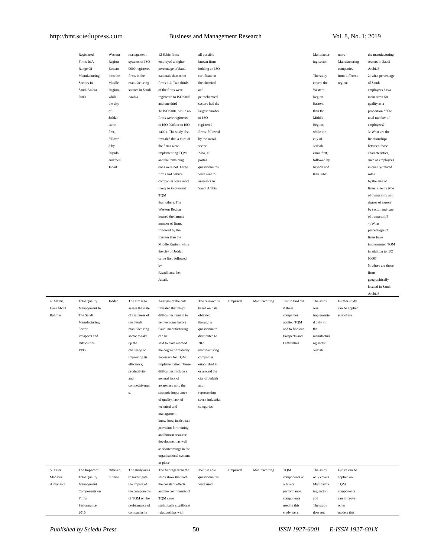## http://bmr.sciedupress.com Business and Management Research Vol. 8, No. 1; 2019

|            | Registered           | Western  | management       | 12 Sabic firms                             | all possible     |           |               |                  | Manufactur   | more           | the manufacturing   |
|------------|----------------------|----------|------------------|--------------------------------------------|------------------|-----------|---------------|------------------|--------------|----------------|---------------------|
|            | Firms In A           | Region   | systems of ISO   | employed a higher                          | known firms      |           |               |                  | ing sector.  | Manufacturing  | sectors in Saudi    |
|            | Range Of             | Eastern  | 9000 registered  | percentage of Saudi                        | holding an ISO   |           |               |                  |              | companies      | Arabia?             |
|            | Manufacturing        | then the | firms in the     | nationals than other                       | certificate in   |           |               |                  | The study    | from different | 2: what percentage  |
|            | Sectors In           | Middle   | manufacturing    | firms did. Two-thirds                      | the chemical     |           |               |                  | covers the   | regions        | of Saudi            |
|            | Saudi Arabia         | Region,  | sectors in Saudi | of the firms were                          | and              |           |               |                  | Western      |                | employees has a     |
|            | 2000                 | while    | Arabia           | registered to ISO 9002                     | petrochemical    |           |               |                  | Region       |                | main remit for      |
|            |                      | the city |                  | and one third                              | sectors had the  |           |               |                  | Eastern      |                | quality as a        |
|            |                      | of       |                  | To ISO 9001, while no                      | largest number   |           |               |                  | than the     |                | proportion of the   |
|            |                      | Jeddah   |                  | firms were registered                      | of ISO           |           |               |                  | Middle       |                | total number of     |
|            |                      | came     |                  | to ISO 9003 or to ISO                      | registered       |           |               |                  | Region,      |                | employees?          |
|            |                      | first,   |                  | 14001. The study also                      | firms, followed  |           |               |                  | while the    |                | 3: What are the     |
|            |                      | followe  |                  | revealed that a third of                   | by the metal     |           |               |                  | city of      |                | Relationships       |
|            |                      | d by     |                  | the firms were                             | sector.          |           |               |                  | Jeddah       |                | between those       |
|            |                      | Riyadh   |                  | implementing TQM,                          | Also, 10         |           |               |                  | came first,  |                | characteristics,    |
|            |                      | and then |                  | and the remaining                          | postal           |           |               |                  | followed by  |                | such as employees   |
|            |                      | Jubail   |                  | ones were not. Large                       | questionnaires   |           |               |                  | Riyadh and   |                | in quality-related  |
|            |                      |          |                  | firms and Sabic's                          | were sent to     |           |               |                  | then Jubail. |                | roles               |
|            |                      |          |                  |                                            | assessors in     |           |               |                  |              |                | by the size of      |
|            |                      |          |                  | companies were more<br>likely to implement | Saudi Arabia     |           |               |                  |              |                | firms; size by type |
|            |                      |          |                  |                                            |                  |           |               |                  |              |                |                     |
|            |                      |          |                  | <b>TQM</b>                                 |                  |           |               |                  |              |                | of ownership; and   |
|            |                      |          |                  | than others. The                           |                  |           |               |                  |              |                | degree of export    |
|            |                      |          |                  | Western Region                             |                  |           |               |                  |              |                | by sector and type  |
|            |                      |          |                  | housed the largest                         |                  |           |               |                  |              |                | of ownership?       |
|            |                      |          |                  | number of firms,                           |                  |           |               |                  |              |                | 4: What             |
|            |                      |          |                  | followed by the                            |                  |           |               |                  |              |                | percentages of      |
|            |                      |          |                  | Eastern than the                           |                  |           |               |                  |              |                | firms have          |
|            |                      |          |                  | Middle Region, while                       |                  |           |               |                  |              |                | implemented TQM     |
|            |                      |          |                  | the city of Jeddah                         |                  |           |               |                  |              |                | in addition to ISO  |
|            |                      |          |                  | came first, followed                       |                  |           |               |                  |              |                | 9000?               |
|            |                      |          |                  | by                                         |                  |           |               |                  |              |                | 5: where are those  |
|            |                      |          |                  | Riyadh and then                            |                  |           |               |                  |              |                | firms               |
|            |                      |          |                  | Jubail.                                    |                  |           |               |                  |              |                | geographically      |
|            |                      |          |                  |                                            |                  |           |               |                  |              |                | located in Saudi    |
|            |                      |          |                  |                                            |                  |           |               |                  |              |                | Arabia?             |
| 4: Alamri, | <b>Total Quality</b> | Jeddah   | The aim is to    | Analysis of the data                       | The research is  | Empirical | Manufacturing | Just to find out | The study    | Further study  |                     |
| Hani Abdul | Management In        |          | assess the state | revealed that major                        | based on data    |           |               | if these         | was          | can be applied |                     |
| Rahman     | The Saudi            |          | of readiness of  | difficulties remain to                     | obtained         |           |               | companies        | implemente   | elsewhere      |                     |
|            | Manufacturing        |          | the Saudi        | be overcome before                         | through a        |           |               | applied TQM      | d only in    |                |                     |
|            | Sector               |          | manufacturing    | Saudi manufacturing                        | questionnaire    |           |               | and to find out  | the          |                |                     |
|            | Prospects and        |          | sector to take   | can be                                     | distributed to   |           |               | Prospects and    | manufacturi  |                |                     |
|            | Difficulties.        |          | up the           | said to have reached                       | 282              |           |               | Difficulties     | ng sector    |                |                     |
|            | 1995                 |          | challenge of     | the degree of maturity                     | manufacturing    |           |               |                  | Jeddah       |                |                     |
|            |                      |          | improving its    | necessary for TQM                          | companies        |           |               |                  |              |                |                     |
|            |                      |          | efficiency,      | implementation. These                      | established in   |           |               |                  |              |                |                     |
|            |                      |          | productivity     | difficulties include a                     | or around the    |           |               |                  |              |                |                     |
|            |                      |          | and              | general lack of                            | city of Jeddah   |           |               |                  |              |                |                     |
|            |                      |          | competitivenes   | awareness as to the                        | and              |           |               |                  |              |                |                     |
|            |                      |          | s.               | strategic importance                       | representing     |           |               |                  |              |                |                     |
|            |                      |          |                  | of quality, lack of                        | seven industrial |           |               |                  |              |                |                     |
|            |                      |          |                  | technical and                              | categories       |           |               |                  |              |                |                     |
|            |                      |          |                  | management                                 |                  |           |               |                  |              |                |                     |
|            |                      |          |                  | know-how, inadequate                       |                  |           |               |                  |              |                |                     |
|            |                      |          |                  | provision for training                     |                  |           |               |                  |              |                |                     |
|            |                      |          |                  | and human resource                         |                  |           |               |                  |              |                |                     |
|            |                      |          |                  | development as well                        |                  |           |               |                  |              |                |                     |
|            |                      |          |                  | as shortcomings in the                     |                  |           |               |                  |              |                |                     |
|            |                      |          |                  | organisational systems                     |                  |           |               |                  |              |                |                     |
|            |                      |          |                  | in place                                   |                  |           |               |                  |              |                |                     |
| 5: Yaser   | The Impact of        | Differen | The study aims   | The findings from the                      | 357 use able     | Empirical | Manufacturing | TQM              | The study    | Future can be  |                     |
| Mansour    | <b>Total Quality</b> | t Cities | to investigate   | study show that both                       | questionnaires   |           |               | components on    | only covers  | applied on     |                     |
| Almansour  | Management           |          | the impact of    | the constant effects                       | were used        |           |               | a firm's         | Manufactur   | <b>TQM</b>     |                     |
|            | Components on        |          | the components   | and the components of                      |                  |           |               | performance.     | ing sector,  | components     |                     |
|            | Firms                |          | of TQM on the    | TQM show                                   |                  |           |               | components       | and          | can improve    |                     |
|            |                      |          |                  |                                            |                  |           |               |                  |              |                |                     |
|            | Performance          |          | performance of   | statistically significant                  |                  |           |               | used in this     | The study    | other          |                     |
|            | 2015                 |          | companies in     | relationships with                         |                  |           |               | study were       | does not     | models that    |                     |

 $\overline{\phantom{a}}$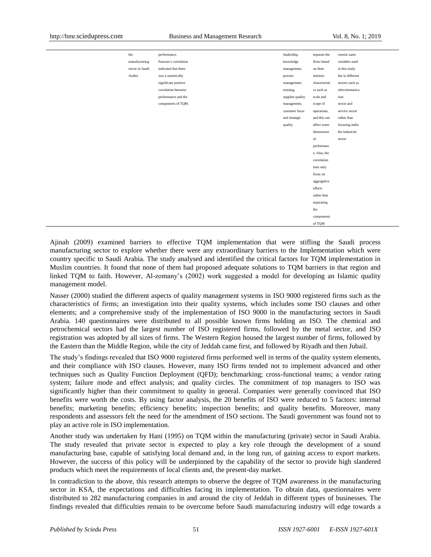| the             | performance.          | leadership,      | separate the  | consist same     |
|-----------------|-----------------------|------------------|---------------|------------------|
| manufacturing   | Pearson's correlation | knowledge        | firms based   | variables used   |
| sector in Saudi | indicated that there  | management,      | on their      | in this study    |
| Arabia          | was a statistically   | process          | intrinsic     | but in different |
|                 | significant positive  | management,      | characteristi | sectors such as  |
|                 | correlation between   | training,        | cs such as    | telecommunica    |
|                 | performance and the   | supplier quality | scale and     | tion             |
|                 | components of TQM.    | management,      | scope of      | sector and       |
|                 |                       | customer focus   | operations,   | service sector   |
|                 |                       | and strategic    | and this can  | rather than      |
|                 |                       | quality          | affect some   | focusing onthe   |
|                 |                       |                  | dimensions    | the industrial   |
|                 |                       |                  | of            | sector           |
|                 |                       |                  | performanc    |                  |
|                 |                       |                  | e. Also, the  |                  |
|                 |                       |                  | correlation   |                  |
|                 |                       |                  | tests only    |                  |
|                 |                       |                  | focus on      |                  |
|                 |                       |                  | aggregative   |                  |
|                 |                       |                  | effects       |                  |
|                 |                       |                  | rather than   |                  |
|                 |                       |                  | separating    |                  |
|                 |                       |                  | the           |                  |
|                 |                       |                  | components    |                  |
|                 |                       |                  | of TQM        |                  |

Ajinah (2009) examined barriers to effective TQM implementation that were stifling the Saudi process manufacturing sector to explore whether there were any extraordinary barriers to the Implementation which were country specific to Saudi Arabia. The study analysed and identified the critical factors for TQM implementation in Muslim countries. It found that none of them had proposed adequate solutions to TQM barriers in that region and linked TQM to faith. However, Al-zomany's (2002) work suggested a model for developing an Islamic quality management model.

Nasser (2000) studied the different aspects of quality management systems in ISO 9000 registered firms such as the characteristics of firms; an investigation into their quality systems, which includes some ISO clauses and other elements; and a comprehensive study of the implementation of ISO 9000 in the manufacturing sectors in Saudi Arabia. 140 questionnaires were distributed to all possible known firms holding an ISO. The chemical and petrochemical sectors had the largest number of ISO registered firms, followed by the metal sector, and ISO registration was adopted by all sizes of firms. The Western Region housed the largest number of firms, followed by the Eastern than the Middle Region, while the city of Jeddah came first, and followed by Riyadh and then Jubail.

The study's findings revealed that ISO 9000 registered firms performed well in terms of the quality system elements, and their compliance with ISO clauses. However, many ISO firms tended not to implement advanced and other techniques such as Quality Function Deployment (QFD); benchmarking; cross-functional teams; a vendor rating system; failure mode and effect analysis; and quality circles. The commitment of top managers to ISO was significantly higher than their commitment to quality in general. Companies were generally convinced that ISO benefits were worth the costs. By using factor analysis, the 20 benefits of ISO were reduced to 5 factors: internal benefits; marketing benefits; efficiency benefits; inspection benefits; and quality benefits. Moreover, many respondents and assessors felt the need for the amendment of ISO sections. The Saudi government was found not to play an active role in ISO implementation.

Another study was undertaken by Hani (1995) on TQM within the manufacturing (private) sector in Saudi Arabia. The study revealed that private sector is expected to play a key role through the development of a sound manufacturing base, capable of satisfying local demand and, in the long run, of gaining access to export markets. However, the success of this policy will be underpinned by the capability of the sector to provide high slandered products which meet the requirements of local clients and, the present-day market.

In contradiction to the above, this research attempts to observe the degree of TQM awareness in the manufacturing sector in KSA, the expectations and difficulties facing its implementation. To obtain data, questionnaires were distributed to 282 manufacturing companies in and around the city of Jeddah in different types of businesses. The findings revealed that difficulties remain to be overcome before Saudi manufacturing industry will edge towards a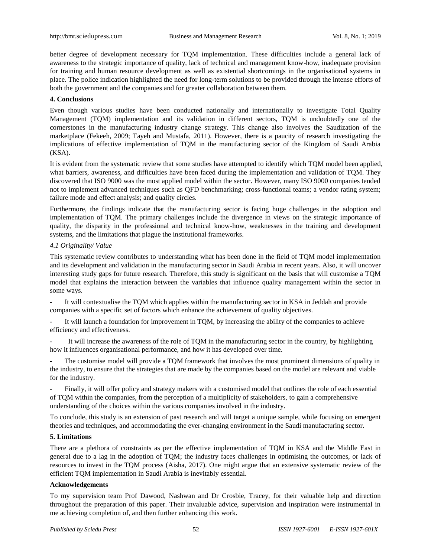better degree of development necessary for TQM implementation. These difficulties include a general lack of awareness to the strategic importance of quality, lack of technical and management know-how, inadequate provision for training and human resource development as well as existential shortcomings in the organisational systems in place. The police indication highlighted the need for long-term solutions to be provided through the intense efforts of both the government and the companies and for greater collaboration between them.

## **4. Conclusions**

Even though various studies have been conducted nationally and internationally to investigate Total Quality Management (TQM) implementation and its validation in different sectors, TQM is undoubtedly one of the cornerstones in the manufacturing industry change strategy. This change also involves the Saudization of the marketplace (Fekeeh, 2009; Tayeh and Mustafa, 2011). However, there is a paucity of research investigating the implications of effective implementation of TQM in the manufacturing sector of the Kingdom of Saudi Arabia (KSA).

It is evident from the systematic review that some studies have attempted to identify which TQM model been applied, what barriers, awareness, and difficulties have been faced during the implementation and validation of TQM. They discovered that ISO 9000 was the most applied model within the sector. However, many ISO 9000 companies tended not to implement advanced techniques such as QFD benchmarking; cross-functional teams; a vendor rating system; failure mode and effect analysis; and quality circles.

Furthermore, the findings indicate that the manufacturing sector is facing huge challenges in the adoption and implementation of TQM. The primary challenges include the divergence in views on the strategic importance of quality, the disparity in the professional and technical know-how, weaknesses in the training and development systems, and the limitations that plague the institutional frameworks.

## *4.1 Originality/ Value*

This systematic review contributes to understanding what has been done in the field of TQM model implementation and its development and validation in the manufacturing sector in Saudi Arabia in recent years. Also, it will uncover interesting study gaps for future research. Therefore, this study is significant on the basis that will customise a TQM model that explains the interaction between the variables that influence quality management within the sector in some ways.

It will contextualise the TOM which applies within the manufacturing sector in KSA in Jeddah and provide companies with a specific set of factors which enhance the achievement of quality objectives.

It will launch a foundation for improvement in TQM, by increasing the ability of the companies to achieve efficiency and effectiveness.

It will increase the awareness of the role of TQM in the manufacturing sector in the country, by highlighting how it influences organisational performance, and how it has developed over time.

The customise model will provide a TQM framework that involves the most prominent dimensions of quality in the industry, to ensure that the strategies that are made by the companies based on the model are relevant and viable for the industry.

Finally, it will offer policy and strategy makers with a customised model that outlines the role of each essential of TQM within the companies, from the perception of a multiplicity of stakeholders, to gain a comprehensive understanding of the choices within the various companies involved in the industry.

To conclude, this study is an extension of past research and will target a unique sample, while focusing on emergent theories and techniques, and accommodating the ever-changing environment in the Saudi manufacturing sector.

#### **5. Limitations**

There are a plethora of constraints as per the effective implementation of TQM in KSA and the Middle East in general due to a lag in the adoption of TQM; the industry faces challenges in optimising the outcomes, or lack of resources to invest in the TQM process (Aisha, 2017). One might argue that an extensive systematic review of the efficient TQM implementation in Saudi Arabia is inevitably essential.

#### **Acknowledgements**

To my supervision team Prof Dawood, Nashwan and Dr Crosbie, Tracey, for their valuable help and direction throughout the preparation of this paper. Their invaluable advice, supervision and inspiration were instrumental in me achieving completion of, and then further enhancing this work.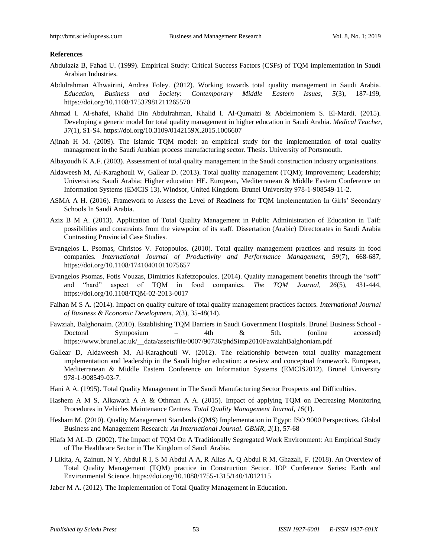#### **References**

- Abdulaziz B, Fahad U. (1999). Empirical Study: Critical Success Factors (CSFs) of TQM implementation in Saudi Arabian Industries.
- Abdulrahman Alhwairini, Andrea Foley. (2012). Working towards total quality management in Saudi Arabia. *Education, Business and Society: Contemporary Middle Eastern Issues, 5*(3), 187-199, https://doi.org/10.1108/17537981211265570
- Ahmad I. Al-shafei, Khalid Bin Abdulrahman, Khalid I. Al-Qumaizi & Abdelmoniem S. El-Mardi. (2015). Developing a generic model for total quality management in higher education in Saudi Arabia. *Medical Teacher, 37*(1), S1-S4.<https://doi.org/10.3109/0142159X.2015.1006607>
- Ajinah H M. (2009). The Islamic TQM model: an empirical study for the implementation of total quality management in the Saudi Arabian process manufacturing sector. Thesis. University of Portsmouth.
- Albayoudh K A.F. (2003). Assessment of total quality management in the Saudi construction industry organisations.
- Aldaweesh M, Al-Karaghouli W, Gallear D. (2013). Total quality management (TQM); Improvement; Leadership; Universities; Saudi Arabia; Higher education HE. European, Mediterranean & Middle Eastern Conference on Information Systems (EMCIS 13), Windsor, United Kingdom. Brunel University 978-1-908549-11-2.
- ASMA A H. (2016). Framework to Assess the Level of Readiness for TQM Implementation In Girls' Secondary Schools In Saudi Arabia.
- Aziz B M A. (2013). Application of Total Quality Management in Public Administration of Education in Taif: possibilities and constraints from the viewpoint of its staff. Dissertation (Arabic) Directorates in Saudi Arabia Contrasting Provincial Case Studies.
- Evangelos L. Psomas, Christos V. Fotopoulos. (2010). Total quality management practices and results in food companies. *International Journal of Productivity and Performance Management, 59*(7), 668-687, https://doi.org/10.1108/17410401011075657
- Evangelos Psomas, Fotis Vouzas, Dimitrios Kafetzopoulos. (2014). Quality management benefits through the "soft" and "hard" aspect of TQM in food companies. *The TQM Journal, 26*(5), 431-444, https://doi.org/10.1108/TQM-02-2013-0017
- Faihan M S A. (2014). Impact on quality culture of total quality management practices factors. *International Journal of Business & Economic Development, 2*(3), 35-48(14).
- Fawziah, Balghonaim. (2010). Establishing TQM Barriers in Saudi Government Hospitals. Brunel Business School Doctoral Symposium – 4th & 5th. (online accessed) https://www.brunel.ac.uk/\_\_data/assets/file/0007/90736/phdSimp2010FawziahBalghoniam.pdf
- Gallear D, Aldaweesh M, Al-Karaghouli W. (2012). The relationship between total quality management implementation and leadership in the Saudi higher education: a review and conceptual framework. European, Mediterranean & Middle Eastern Conference on Information Systems (EMCIS2012). Brunel University 978-1-908549-03-7.
- Hani A A. (1995). Total Quality Management in The Saudi Manufacturing Sector Prospects and Difficulties.
- Hashem A M S, Alkawath A A & Othman A A. (2015). Impact of applying TQM on Decreasing Monitoring Procedures in Vehicles Maintenance Centres. *Total Quality Management Journal, 16*(1).
- Hesham M. (2010). Quality Management Standards (QMS) Implementation in Egypt: ISO 9000 Perspectives. Global Business and Management Research: *An International Journal. GBMR, 2*(1), 57-68
- Hiafa M AL-D. (2002). The Impact of TQM On A Traditionally Segregated Work Environment: An Empirical Study of The Healthcare Sector in The Kingdom of Saudi Arabia.
- J Likita, A, Zainun, N Y, Abdul R I, S M Abdul A A, R Alias A, Q Abdul R M, Ghazali, F. (2018). An Overview of Total Quality Management (TQM) practice in Construction Sector. IOP Conference Series: Earth and Environmental Science. https://doi.org/10.1088/1755-1315/140/1/012115
- Jaber M A. (2012). The Implementation of Total Quality Management in Education.